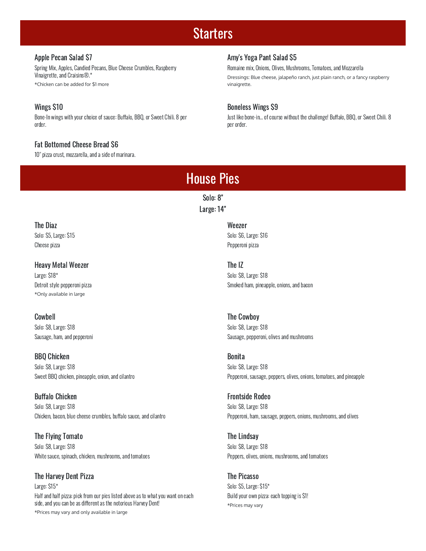## **Starters**

#### Apple Pecan Salad \$7

Spring Mix, Apples, Candied Pecans, Blue Cheese Crumbles, Raspberry Vinaigrette, and Craisins®.\* \*Chicken can be added for \$1 more

## Wings \$10

Bone-In wings with your choice of sauce: Buffalo, BBQ, or Sweet Chili. 8 per order.

## Fat Bottomed Cheese Bread \$6

10" pizza crust, mozzarella, and a side of marinara.

## Amy's Yoga Pant Salad \$5

Romaine mix, Onions, Olives, Mushrooms, Tomatoes, and Mozzarella Dressings: Blue cheese, jalapeño ranch, just plain ranch, or a fancy raspberry vinaigrette.

## Boneless Wings \$9

Just like bone-in... of course without the challenge! Buffalo, BBQ, or Sweet Chili. 8 per order.

# House Pies

Solo: 8" Large: 14"

## The Diaz

Solo: \$5, Large: \$15 Cheese pizza

## Heavy Metal Weezer

Large: \$18\* Detroit style pepperoni pizza \*Only available in large

## Cowbell

Solo: \$8, Large: \$18 Sausage, ham, and pepperoni

## BBQ Chicken

Solo: \$8, Large: \$18 Sweet BBQ chicken, pineapple, onion, and cilantro

## **Buffalo Chicken**

Solo: \$8, Large: \$18 Chicken, bacon, blue cheese crumbles, buffalo sauce, and cilantro

#### The Flying Tomato Solo: \$8, Large: \$18 White sauce, spinach, chicken, mushrooms, and tomatoes

## The Harvey Dent Pizza

Large: \$15\* Half and half pizza: pick from our pies listed above as to what you want on each side, and you can be as different as the notorious Harvey Dent! \*Prices may vary and only available in large

Weezer Solo: \$6, Large: \$16 Pepperoni pizza

#### The IZ

Solo: \$8, Large: \$18 Smoked ham, pineapple, onions, and bacon

## The Cowboy

Solo: \$8, Large: \$18 Sausage, pepperoni, olives and mushrooms

## Bonita

Solo: \$8, Large: \$18 Pepperoni, sausage, peppers, olives, onions, tomatoes, and pineapple

#### Frontside Rodeo

Solo: \$8, Large: \$18 Pepperoni, ham, sausage, peppers, onions, mushrooms, and olives

## The Lindsay Solo: \$8, Large: \$18

Peppers, olives, onions, mushrooms, and tomatoes

## The Picasso

Solo: \$5, Large: \$15\* Build your own pizza: each topping is \$1! \*Prices may vary